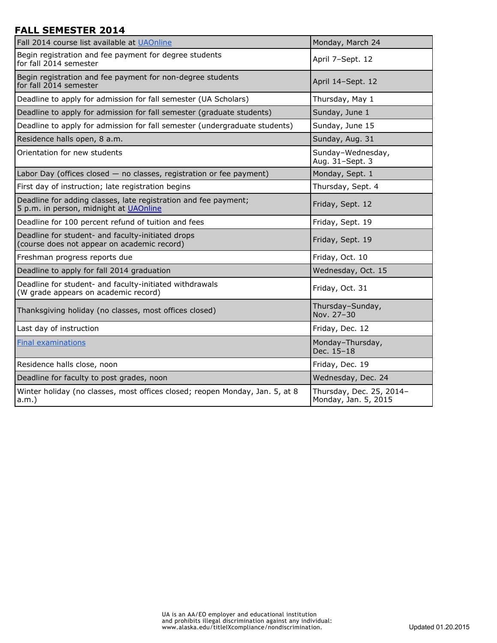## **FALL SEMESTER 2014**

| Fall 2014 course list available at UAOnline                                                               | Monday, March 24                                 |
|-----------------------------------------------------------------------------------------------------------|--------------------------------------------------|
| Begin registration and fee payment for degree students<br>for fall 2014 semester                          | April 7-Sept. 12                                 |
| Begin registration and fee payment for non-degree students<br>for fall 2014 semester                      | April 14-Sept. 12                                |
| Deadline to apply for admission for fall semester (UA Scholars)                                           | Thursday, May 1                                  |
| Deadline to apply for admission for fall semester (graduate students)                                     | Sunday, June 1                                   |
| Deadline to apply for admission for fall semester (undergraduate students)                                | Sunday, June 15                                  |
| Residence halls open, 8 a.m.                                                                              | Sunday, Aug. 31                                  |
| Orientation for new students                                                                              | Sunday-Wednesday,<br>Aug. 31-Sept. 3             |
| Labor Day (offices closed $-$ no classes, registration or fee payment)                                    | Monday, Sept. 1                                  |
| First day of instruction; late registration begins                                                        | Thursday, Sept. 4                                |
| Deadline for adding classes, late registration and fee payment;<br>5 p.m. in person, midnight at UAOnline | Friday, Sept. 12                                 |
| Deadline for 100 percent refund of tuition and fees                                                       | Friday, Sept. 19                                 |
| Deadline for student- and faculty-initiated drops<br>(course does not appear on academic record)          | Friday, Sept. 19                                 |
| Freshman progress reports due                                                                             | Friday, Oct. 10                                  |
| Deadline to apply for fall 2014 graduation                                                                | Wednesday, Oct. 15                               |
| Deadline for student- and faculty-initiated withdrawals<br>(W grade appears on academic record)           | Friday, Oct. 31                                  |
| Thanksgiving holiday (no classes, most offices closed)                                                    | Thursday-Sunday,<br>Nov. 27-30                   |
| Last day of instruction                                                                                   | Friday, Dec. 12                                  |
| <b>Final examinations</b>                                                                                 | Monday-Thursday,<br>Dec. 15-18                   |
| Residence halls close, noon                                                                               | Friday, Dec. 19                                  |
| Deadline for faculty to post grades, noon                                                                 | Wednesday, Dec. 24                               |
| Winter holiday (no classes, most offices closed; reopen Monday, Jan. 5, at 8<br>$a.m.$ )                  | Thursday, Dec. 25, 2014-<br>Monday, Jan. 5, 2015 |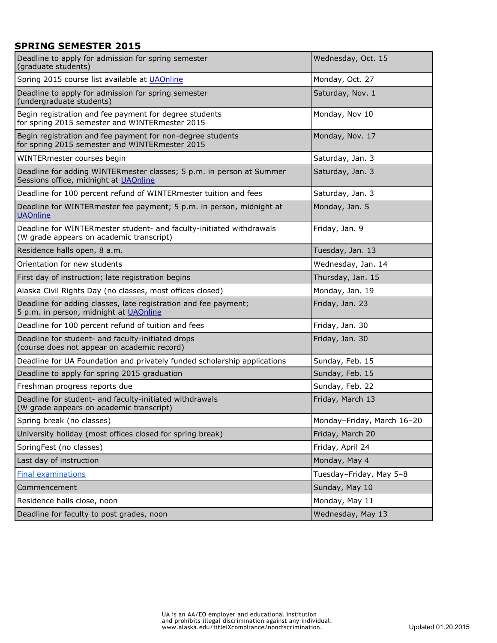## **SPRING SEMESTER 2015**

| Deadline to apply for admission for spring semester<br>(graduate students)                                       | Wednesday, Oct. 15         |
|------------------------------------------------------------------------------------------------------------------|----------------------------|
| Spring 2015 course list available at UAOnline                                                                    | Monday, Oct. 27            |
| Deadline to apply for admission for spring semester<br>(undergraduate students)                                  | Saturday, Nov. 1           |
| Begin registration and fee payment for degree students<br>for spring 2015 semester and WINTERmester 2015         | Monday, Nov 10             |
| Begin registration and fee payment for non-degree students<br>for spring 2015 semester and WINTERmester 2015     | Monday, Nov. 17            |
| WINTERmester courses begin                                                                                       | Saturday, Jan. 3           |
| Deadline for adding WINTERmester classes; 5 p.m. in person at Summer<br>Sessions office, midnight at UAOnline    | Saturday, Jan. 3           |
| Deadline for 100 percent refund of WINTERmester tuition and fees                                                 | Saturday, Jan. 3           |
| Deadline for WINTERmester fee payment; 5 p.m. in person, midnight at<br><b>UAOnline</b>                          | Monday, Jan. 5             |
| Deadline for WINTERmester student- and faculty-initiated withdrawals<br>(W grade appears on academic transcript) | Friday, Jan. 9             |
| Residence halls open, 8 a.m.                                                                                     | Tuesday, Jan. 13           |
| Orientation for new students                                                                                     | Wednesday, Jan. 14         |
| First day of instruction; late registration begins                                                               | Thursday, Jan. 15          |
| Alaska Civil Rights Day (no classes, most offices closed)                                                        | Monday, Jan. 19            |
| Deadline for adding classes, late registration and fee payment;<br>5 p.m. in person, midnight at UAOnline        | Friday, Jan. 23            |
| Deadline for 100 percent refund of tuition and fees                                                              | Friday, Jan. 30            |
| Deadline for student- and faculty-initiated drops<br>(course does not appear on academic record)                 | Friday, Jan. 30            |
| Deadline for UA Foundation and privately funded scholarship applications                                         | Sunday, Feb. 15            |
| Deadline to apply for spring 2015 graduation                                                                     | Sunday, Feb. 15            |
| Freshman progress reports due                                                                                    | Sunday, Feb. 22            |
| Deadline for student- and faculty-initiated withdrawals<br>(W grade appears on academic transcript)              | Friday, March 13           |
| Spring break (no classes)                                                                                        | Monday-Friday, March 16-20 |
| University holiday (most offices closed for spring break)                                                        | Friday, March 20           |
| SpringFest (no classes)                                                                                          | Friday, April 24           |
| Last day of instruction                                                                                          | Monday, May 4              |
| <b>Final examinations</b>                                                                                        | Tuesday-Friday, May 5-8    |
| Commencement                                                                                                     | Sunday, May 10             |
| Residence halls close, noon                                                                                      | Monday, May 11             |
| Deadline for faculty to post grades, noon                                                                        | Wednesday, May 13          |